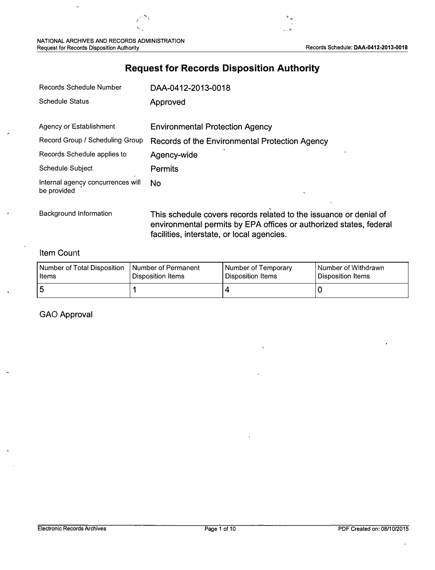## **Request for Records Disposition Authority**

| <b>Records Schedule Number</b>                   | DAA-0412-2013-0018                             |
|--------------------------------------------------|------------------------------------------------|
| <b>Schedule Status</b>                           | Approved                                       |
|                                                  |                                                |
| Agency or Establishment                          | <b>Environmental Protection Agency</b>         |
| Record Group / Scheduling Group                  | Records of the Environmental Protection Agency |
| Records Schedule applies to                      | Agency-wide                                    |
| <b>Schedule Subject</b>                          | <b>Permits</b>                                 |
| Internal agency concurrences will<br>be provided | No<br>$\tilde{\phantom{a}}$                    |

Background Information This schedule covers records related to the issuance or denial of environmental permits by EPA offices or authorized states, federal facilities, interstate, or local agencies.

### Item Count

| Number of Total Disposition | Number of Permanent | Number of Temporary | I Number of Withdrawn |
|-----------------------------|---------------------|---------------------|-----------------------|
| Items                       | Disposition Items   | l Disposition Items | l Disposition Items   |
|                             |                     |                     |                       |

GAO Approval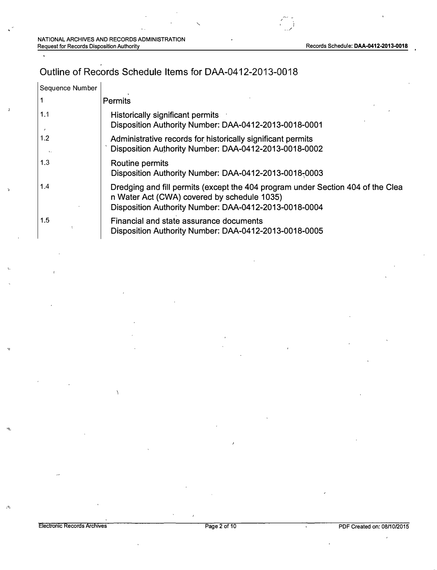$\ddot{\phantom{0}}$ 

\_\_ \_/

# Outline of Records Schedule Items for DM-0412-2013-0018

| Sequence Number     |                                                                                                                                                                                         |
|---------------------|-----------------------------------------------------------------------------------------------------------------------------------------------------------------------------------------|
| 1                   | <b>Permits</b>                                                                                                                                                                          |
| 1.1                 | Historically significant permits<br>Disposition Authority Number: DAA-0412-2013-0018-0001                                                                                               |
| 1.2<br>$\mathbf{A}$ | Administrative records for historically significant permits<br>Disposition Authority Number: DAA-0412-2013-0018-0002                                                                    |
| 1.3                 | Routine permits<br>Disposition Authority Number: DAA-0412-2013-0018-0003                                                                                                                |
| 1.4                 | Dredging and fill permits (except the 404 program under Section 404 of the Clea<br>n Water Act (CWA) covered by schedule 1035)<br>Disposition Authority Number: DAA-0412-2013-0018-0004 |
| 1.5                 | Financial and state assurance documents<br>Disposition Authority Number: DAA-0412-2013-0018-0005                                                                                        |

 $\mathcal{E}$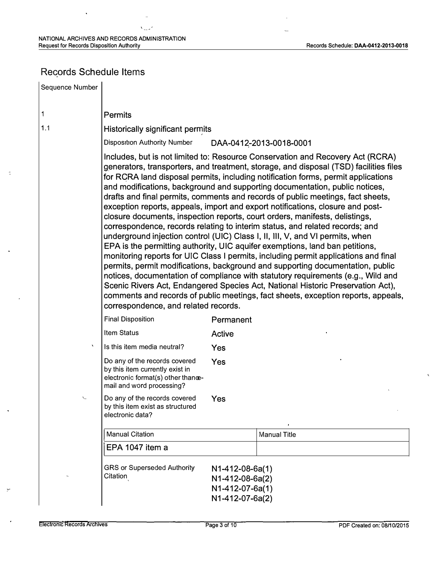## Records Schedule Items

Sequence Number 1 1.1  $\overline{a}$ **Permits** Historically significant permits Disposition Authority Number DAA-0412-2013-0018-0001 Includes, but is not limited to: Resource Conservation and Recovery Act (RCRA) generators, transporters, and treatment, storage, and disposal (TSD) facilities files for RQRA land disposal permits, including notification forms, permit applications and modifications, background and supporting documentation, public notices, drafts and final permits, comments and records of public meetings, fact sheets, exception reports, appeals, import and export notifications, closure and postclosure documents, inspection reports, court orders, manifests, delistings, correspondence, records relating to interim status, and related records; and underground injection control (UIC) Class I, 11, 111, V, and VI permits, when EPA is the permitting authority, UIC aquifer exemptions, land ban petitions, monitoring reports for UIC Class I permits, including permit applications and final permits, permit modifications, background and supporting documentation, public notices, documentation of compliance with statutory requirements (e.g., Wild and Scenic Rivers Act, Endangered Species Act, National Historic Preservation Act), comments and records of public meetings, fact sheets, exception reports, appeals, correspondence, and related records. Final Disposition **Permanent** Item Status **Active**  Is this item media neutral? **Yes**  Do any of the records covered **Yes**  by this item currently exist in electronic format(s) other thancemail and word processing? Do any of the records covered Yes by this item exist as structured electronic data? Manual Citation EPA 1047 item a GRS or Superseded Authority Citation Manual Title N 1-412-08-6a(1) N1-412-08-6a(2) N1-412-07-6a(1) N1-412-07-6a(2)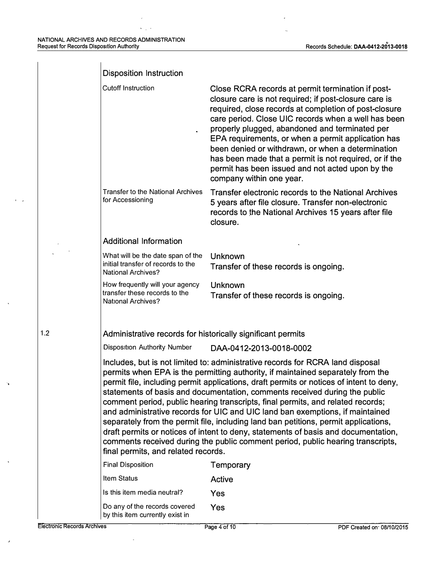$\ddot{\phantom{a}}$ 

|     | <b>Disposition Instruction</b>                                                                                                                                                                                                                                                                                                                                                                                                                                                                                                                                                                                                                                                                                                                                                                                        |                                                                                                                                                                                                                                                                                                                                                                                                                                                                                                                                   |  |  |
|-----|-----------------------------------------------------------------------------------------------------------------------------------------------------------------------------------------------------------------------------------------------------------------------------------------------------------------------------------------------------------------------------------------------------------------------------------------------------------------------------------------------------------------------------------------------------------------------------------------------------------------------------------------------------------------------------------------------------------------------------------------------------------------------------------------------------------------------|-----------------------------------------------------------------------------------------------------------------------------------------------------------------------------------------------------------------------------------------------------------------------------------------------------------------------------------------------------------------------------------------------------------------------------------------------------------------------------------------------------------------------------------|--|--|
|     | <b>Cutoff Instruction</b>                                                                                                                                                                                                                                                                                                                                                                                                                                                                                                                                                                                                                                                                                                                                                                                             | Close RCRA records at permit termination if post-<br>closure care is not required; if post-closure care is<br>required, close records at completion of post-closure<br>care period. Close UIC records when a well has been<br>properly plugged, abandoned and terminated per<br>EPA requirements, or when a permit application has<br>been denied or withdrawn, or when a determination<br>has been made that a permit is not required, or if the<br>permit has been issued and not acted upon by the<br>company within one year. |  |  |
|     | <b>Transfer to the National Archives</b><br>for Accessioning                                                                                                                                                                                                                                                                                                                                                                                                                                                                                                                                                                                                                                                                                                                                                          | Transfer electronic records to the National Archives<br>5 years after file closure. Transfer non-electronic<br>records to the National Archives 15 years after file<br>closure.                                                                                                                                                                                                                                                                                                                                                   |  |  |
|     | <b>Additional Information</b>                                                                                                                                                                                                                                                                                                                                                                                                                                                                                                                                                                                                                                                                                                                                                                                         |                                                                                                                                                                                                                                                                                                                                                                                                                                                                                                                                   |  |  |
|     | What will be the date span of the<br>initial transfer of records to the<br><b>National Archives?</b>                                                                                                                                                                                                                                                                                                                                                                                                                                                                                                                                                                                                                                                                                                                  | <b>Unknown</b><br>Transfer of these records is ongoing.                                                                                                                                                                                                                                                                                                                                                                                                                                                                           |  |  |
|     | How frequently will your agency<br>transfer these records to the<br><b>National Archives?</b>                                                                                                                                                                                                                                                                                                                                                                                                                                                                                                                                                                                                                                                                                                                         | <b>Unknown</b><br>Transfer of these records is ongoing.                                                                                                                                                                                                                                                                                                                                                                                                                                                                           |  |  |
| 1.2 | Administrative records for historically significant permits                                                                                                                                                                                                                                                                                                                                                                                                                                                                                                                                                                                                                                                                                                                                                           |                                                                                                                                                                                                                                                                                                                                                                                                                                                                                                                                   |  |  |
|     | <b>Disposition Authority Number</b>                                                                                                                                                                                                                                                                                                                                                                                                                                                                                                                                                                                                                                                                                                                                                                                   | DAA-0412-2013-0018-0002                                                                                                                                                                                                                                                                                                                                                                                                                                                                                                           |  |  |
|     | Includes, but is not limited to: administrative records for RCRA land disposal<br>permits when EPA is the permitting authority, if maintained separately from the<br>permit file, including permit applications, draft permits or notices of intent to deny,<br>statements of basis and documentation, comments received during the public<br>comment period, public hearing transcripts, final permits, and related records;<br>and administrative records for UIC and UIC land ban exemptions, if maintained<br>separately from the permit file, including land ban petitions, permit applications,<br>draft permits or notices of intent to deny, statements of basis and documentation,<br>comments received during the public comment period, public hearing transcripts,<br>final permits, and related records. |                                                                                                                                                                                                                                                                                                                                                                                                                                                                                                                                   |  |  |
|     | <b>Final Disposition</b>                                                                                                                                                                                                                                                                                                                                                                                                                                                                                                                                                                                                                                                                                                                                                                                              | Temporary                                                                                                                                                                                                                                                                                                                                                                                                                                                                                                                         |  |  |
|     | <b>Item Status</b>                                                                                                                                                                                                                                                                                                                                                                                                                                                                                                                                                                                                                                                                                                                                                                                                    | <b>Active</b>                                                                                                                                                                                                                                                                                                                                                                                                                                                                                                                     |  |  |
|     | Is this item media neutral?                                                                                                                                                                                                                                                                                                                                                                                                                                                                                                                                                                                                                                                                                                                                                                                           | Yes                                                                                                                                                                                                                                                                                                                                                                                                                                                                                                                               |  |  |
|     | Do any of the records covered<br>by this item currently exist in                                                                                                                                                                                                                                                                                                                                                                                                                                                                                                                                                                                                                                                                                                                                                      | Yes                                                                                                                                                                                                                                                                                                                                                                                                                                                                                                                               |  |  |

 $\ddot{\phantom{a}}$ 

 $\mathbf{r} = \mathbf{r}$ 

 $\ddot{\phantom{1}}$ 

þ,

 $\lambda$ 

 $\boldsymbol{\beta}$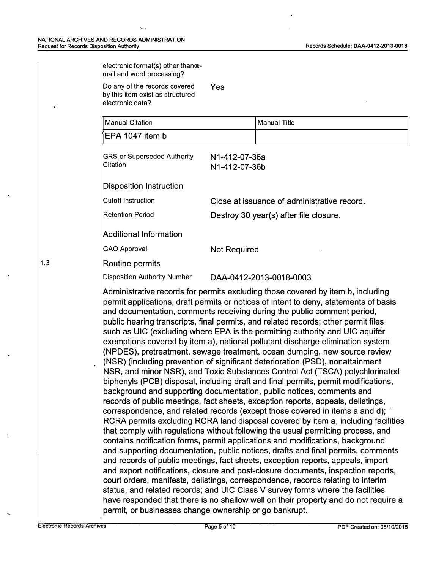$\mathbf{r}$ 

| electronic format(s) other thanœ-<br>mail and word processing?                                                                                                                                                                                                                                                                                                                                                                                                                                                                                                                                                                                                                                                                                                                                                                                                                                                                                                                                                                                                                                                                                                                                                                                                                                                                                                                                                                                                                                                                                                                                                                                                                                                                                                                                                                                                                                                                            |
|-------------------------------------------------------------------------------------------------------------------------------------------------------------------------------------------------------------------------------------------------------------------------------------------------------------------------------------------------------------------------------------------------------------------------------------------------------------------------------------------------------------------------------------------------------------------------------------------------------------------------------------------------------------------------------------------------------------------------------------------------------------------------------------------------------------------------------------------------------------------------------------------------------------------------------------------------------------------------------------------------------------------------------------------------------------------------------------------------------------------------------------------------------------------------------------------------------------------------------------------------------------------------------------------------------------------------------------------------------------------------------------------------------------------------------------------------------------------------------------------------------------------------------------------------------------------------------------------------------------------------------------------------------------------------------------------------------------------------------------------------------------------------------------------------------------------------------------------------------------------------------------------------------------------------------------------|
| Do any of the records covered<br>by this item exist as structured<br>electronic data?                                                                                                                                                                                                                                                                                                                                                                                                                                                                                                                                                                                                                                                                                                                                                                                                                                                                                                                                                                                                                                                                                                                                                                                                                                                                                                                                                                                                                                                                                                                                                                                                                                                                                                                                                                                                                                                     |
| <b>Manual Citation</b>                                                                                                                                                                                                                                                                                                                                                                                                                                                                                                                                                                                                                                                                                                                                                                                                                                                                                                                                                                                                                                                                                                                                                                                                                                                                                                                                                                                                                                                                                                                                                                                                                                                                                                                                                                                                                                                                                                                    |
| EPA 1047 item b                                                                                                                                                                                                                                                                                                                                                                                                                                                                                                                                                                                                                                                                                                                                                                                                                                                                                                                                                                                                                                                                                                                                                                                                                                                                                                                                                                                                                                                                                                                                                                                                                                                                                                                                                                                                                                                                                                                           |
| <b>GRS or Superseded Authority</b><br>Citation                                                                                                                                                                                                                                                                                                                                                                                                                                                                                                                                                                                                                                                                                                                                                                                                                                                                                                                                                                                                                                                                                                                                                                                                                                                                                                                                                                                                                                                                                                                                                                                                                                                                                                                                                                                                                                                                                            |
| <b>Disposition Instruction</b>                                                                                                                                                                                                                                                                                                                                                                                                                                                                                                                                                                                                                                                                                                                                                                                                                                                                                                                                                                                                                                                                                                                                                                                                                                                                                                                                                                                                                                                                                                                                                                                                                                                                                                                                                                                                                                                                                                            |
| <b>Cutoff Instruction</b>                                                                                                                                                                                                                                                                                                                                                                                                                                                                                                                                                                                                                                                                                                                                                                                                                                                                                                                                                                                                                                                                                                                                                                                                                                                                                                                                                                                                                                                                                                                                                                                                                                                                                                                                                                                                                                                                                                                 |
| <b>Retention Period</b>                                                                                                                                                                                                                                                                                                                                                                                                                                                                                                                                                                                                                                                                                                                                                                                                                                                                                                                                                                                                                                                                                                                                                                                                                                                                                                                                                                                                                                                                                                                                                                                                                                                                                                                                                                                                                                                                                                                   |
| <b>Additional Information</b>                                                                                                                                                                                                                                                                                                                                                                                                                                                                                                                                                                                                                                                                                                                                                                                                                                                                                                                                                                                                                                                                                                                                                                                                                                                                                                                                                                                                                                                                                                                                                                                                                                                                                                                                                                                                                                                                                                             |
| <b>GAO Approval</b>                                                                                                                                                                                                                                                                                                                                                                                                                                                                                                                                                                                                                                                                                                                                                                                                                                                                                                                                                                                                                                                                                                                                                                                                                                                                                                                                                                                                                                                                                                                                                                                                                                                                                                                                                                                                                                                                                                                       |
| Routine permits                                                                                                                                                                                                                                                                                                                                                                                                                                                                                                                                                                                                                                                                                                                                                                                                                                                                                                                                                                                                                                                                                                                                                                                                                                                                                                                                                                                                                                                                                                                                                                                                                                                                                                                                                                                                                                                                                                                           |
| <b>Disposition Authority Number</b>                                                                                                                                                                                                                                                                                                                                                                                                                                                                                                                                                                                                                                                                                                                                                                                                                                                                                                                                                                                                                                                                                                                                                                                                                                                                                                                                                                                                                                                                                                                                                                                                                                                                                                                                                                                                                                                                                                       |
| Administrative records for permits excluding those covered by item b, including<br>permit applications, draft permits or notices of intent to deny, statements of basis<br>and documentation, comments receiving during the public comment period,<br>public hearing transcripts, final permits, and related records; other permit files<br>such as UIC (excluding where EPA is the permitting authority and UIC aquifer<br>exemptions covered by item a), national pollutant discharge elimination system<br>(NPDES), pretreatment, sewage treatment, ocean dumping, new source review<br>(NSR) (including prevention of significant deterioration (PSD), nonattainment<br>NSR, and minor NSR), and Toxic Substances Control Act (TSCA) polychlorinated<br>biphenyls (PCB) disposal, including draft and final permits, permit modifications,<br>background and supporting documentation, public notices, comments and<br>records of public meetings, fact sheets, exception reports, appeals, delistings,<br>correspondence, and related records (except those covered in items a and d);<br>RCRA permits excluding RCRA land disposal covered by item a, including facilities<br>that comply with regulations without following the usual permitting process, and<br>contains notification forms, permit applications and modifications, background<br>and supporting documentation, public notices, drafts and final permits, comments<br>and records of public meetings, fact sheets, exception reports, appeals, import<br>and export notifications, closure and post-closure documents, inspection reports,<br>court orders, manifests, delistings, correspondence, records relating to interim<br>status, and related records; and UIC Class V survey forms where the facilities<br>have responded that there is no shallow well on their property and do not require a<br>permit, or businesses change ownership or go bankrupt. |

1.3

 $\mathbf{r}$ 

 $\cdot$ 

 $\ddot{ }$ 

 $\ddot{\phantom{a}}$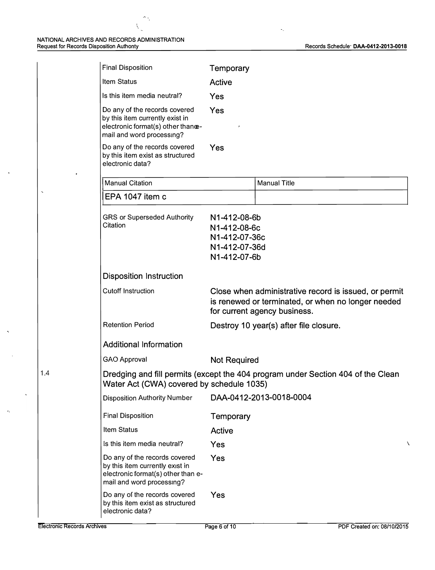$\bar{\zeta}$ 

 $\overline{a}$ 

 $\bar{\zeta}$ 

 $\hat{\mathcal{D}}$  ,  $\bar{\nabla}_2$ 

| <b>Final Disposition</b>                                                                                                            | Temporary                                                                                                                                   |                                                                                  |  |
|-------------------------------------------------------------------------------------------------------------------------------------|---------------------------------------------------------------------------------------------------------------------------------------------|----------------------------------------------------------------------------------|--|
| <b>Item Status</b>                                                                                                                  | Active                                                                                                                                      |                                                                                  |  |
| Is this item media neutral?                                                                                                         | Yes                                                                                                                                         |                                                                                  |  |
| Do any of the records covered<br>by this item currently exist in<br>electronic format(s) other thanœ-<br>mail and word processing?  | Yes                                                                                                                                         |                                                                                  |  |
| Do any of the records covered<br>by this item exist as structured<br>electronic data?                                               | Yes                                                                                                                                         |                                                                                  |  |
| <b>Manual Citation</b>                                                                                                              |                                                                                                                                             | <b>Manual Title</b>                                                              |  |
| EPA 1047 item c                                                                                                                     |                                                                                                                                             |                                                                                  |  |
| <b>GRS or Superseded Authority</b><br>Citation                                                                                      | N1-412-08-6b<br>N1-412-08-6c<br>N1-412-07-36c<br>N1-412-07-36d<br>N1-412-07-6b                                                              |                                                                                  |  |
| <b>Disposition Instruction</b>                                                                                                      |                                                                                                                                             |                                                                                  |  |
| <b>Cutoff Instruction</b>                                                                                                           | Close when administrative record is issued, or permit<br>is renewed or terminated, or when no longer needed<br>for current agency business. |                                                                                  |  |
| <b>Retention Period</b>                                                                                                             | Destroy 10 year(s) after file closure.                                                                                                      |                                                                                  |  |
| <b>Additional Information</b>                                                                                                       |                                                                                                                                             |                                                                                  |  |
| <b>GAO Approval</b>                                                                                                                 | <b>Not Required</b>                                                                                                                         |                                                                                  |  |
| Water Act (CWA) covered by schedule 1035)                                                                                           |                                                                                                                                             | Dredging and fill permits (except the 404 program under Section 404 of the Clean |  |
| <b>Disposition Authority Number</b>                                                                                                 |                                                                                                                                             | DAA-0412-2013-0018-0004                                                          |  |
| <b>Final Disposition</b>                                                                                                            | Temporary                                                                                                                                   |                                                                                  |  |
| <b>Item Status</b>                                                                                                                  | <b>Active</b>                                                                                                                               |                                                                                  |  |
| Is this item media neutral?                                                                                                         | Yes                                                                                                                                         |                                                                                  |  |
| Do any of the records covered<br>by this item currently exist in<br>electronic format(s) other than e-<br>mail and word processing? | Yes                                                                                                                                         |                                                                                  |  |
| Do any of the records covered<br>by this item exist as structured<br>electronic data?                                               | Yes                                                                                                                                         |                                                                                  |  |

 $|1.4|$ 

 $\ddot{\phantom{0}}$ 

j.

 $\ddot{\phantom{0}}$ 

 $\mathbf{r}$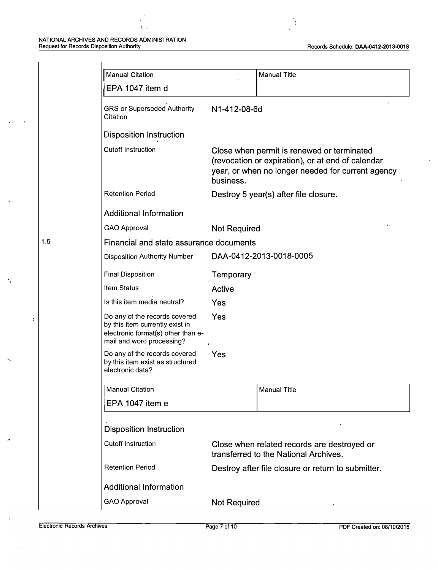#### NATIONAL ARCHIVES AND RECORDS ADMINISTRATION Request for Records Disposition Authority Records Schedule: **DAA-0412-2013-0018**

|     | <b>Manual Citation</b>                                                                                                              |                     | <b>Manual Title</b>                                                                                                                                  |  |
|-----|-------------------------------------------------------------------------------------------------------------------------------------|---------------------|------------------------------------------------------------------------------------------------------------------------------------------------------|--|
|     | EPA 1047 item d                                                                                                                     |                     |                                                                                                                                                      |  |
|     | <b>GRS or Superseded Authority</b><br>Citation                                                                                      | N1-412-08-6d        |                                                                                                                                                      |  |
|     | <b>Disposition Instruction</b>                                                                                                      |                     |                                                                                                                                                      |  |
|     | <b>Cutoff Instruction</b>                                                                                                           | business.           | Close when permit is renewed or terminated<br>(revocation or expiration), or at end of calendar<br>year, or when no longer needed for current agency |  |
|     | <b>Retention Period</b>                                                                                                             |                     | Destroy 5 year(s) after file closure.                                                                                                                |  |
|     | <b>Additional Information</b>                                                                                                       |                     |                                                                                                                                                      |  |
|     | <b>GAO Approval</b>                                                                                                                 | <b>Not Required</b> |                                                                                                                                                      |  |
| 1.5 | Financial and state assurance documents                                                                                             |                     |                                                                                                                                                      |  |
|     | <b>Disposition Authority Number</b>                                                                                                 |                     | DAA-0412-2013-0018-0005                                                                                                                              |  |
|     | <b>Final Disposition</b>                                                                                                            | Temporary           |                                                                                                                                                      |  |
|     | Item Status                                                                                                                         | Active              |                                                                                                                                                      |  |
|     | Is this item media neutral?                                                                                                         | <b>Yes</b>          |                                                                                                                                                      |  |
|     | Do any of the records covered<br>by this item currently exist in<br>electronic format(s) other than e-<br>mail and word processing? | Yes                 |                                                                                                                                                      |  |
|     | Do any of the records covered<br>by this item exist as structured<br>electronic data?                                               | Yes                 |                                                                                                                                                      |  |
|     | <b>Manual Citation</b>                                                                                                              |                     | <b>Manual Title</b>                                                                                                                                  |  |
|     | EPA 1047 item e                                                                                                                     |                     |                                                                                                                                                      |  |
|     | <b>Disposition Instruction</b>                                                                                                      |                     |                                                                                                                                                      |  |
|     | <b>Cutoff Instruction</b>                                                                                                           |                     | Close when related records are destroyed or<br>transferred to the National Archives.                                                                 |  |
|     | <b>Retention Period</b>                                                                                                             |                     | Destroy after file closure or return to submitter.                                                                                                   |  |
|     | <b>Additional Information</b>                                                                                                       |                     |                                                                                                                                                      |  |
|     | <b>GAO Approval</b>                                                                                                                 | <b>Not Required</b> |                                                                                                                                                      |  |
|     |                                                                                                                                     |                     |                                                                                                                                                      |  |

k.

 $\frac{1}{4}$ 

 $\dot{\mathbf{r}}$ 

 $\sigma_{\rm s}$ 

 $\epsilon$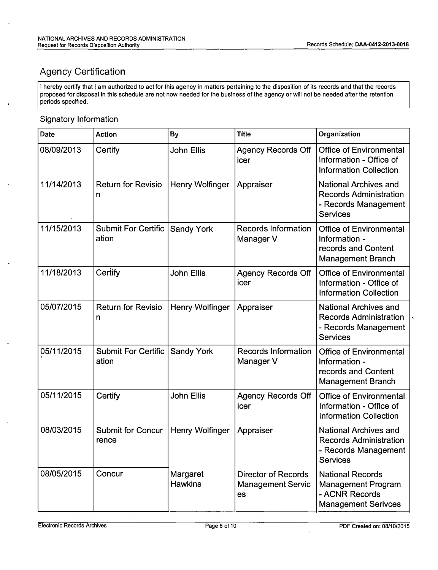# Agency Certification

l hereby certify that I am authorized to act for this agency in matters pertaining to the disposition of its records and that the records proposed for disposal in this schedule are not now needed for the business of the agency or will not be needed after the retention periods specified.

## Signatory Information

| Date       | <b>Action</b>                       | By                         | <b>Title</b>                                                 | Organization                                                                                             |
|------------|-------------------------------------|----------------------------|--------------------------------------------------------------|----------------------------------------------------------------------------------------------------------|
| 08/09/2013 | Certify                             | John Ellis                 | <b>Agency Records Off</b><br>icer                            | <b>Office of Environmental</b><br>Information - Office of<br><b>Information Collection</b>               |
| 11/14/2013 | <b>Return for Revisio</b><br>n      | Henry Wolfinger            | Appraiser                                                    | <b>National Archives and</b><br><b>Records Administration</b><br>- Records Management<br><b>Services</b> |
| 11/15/2013 | <b>Submit For Certific</b><br>ation | <b>Sandy York</b>          | <b>Records Information</b><br>Manager V                      | <b>Office of Environmental</b><br>Information -<br>records and Content<br><b>Management Branch</b>       |
| 11/18/2013 | Certify                             | <b>John Ellis</b>          | <b>Agency Records Off</b><br>icer                            | <b>Office of Environmental</b><br>Information - Office of<br><b>Information Collection</b>               |
| 05/07/2015 | <b>Return for Revisio</b><br>n      | Henry Wolfinger            | Appraiser                                                    | <b>National Archives and</b><br><b>Records Administration</b><br>- Records Management<br><b>Services</b> |
| 05/11/2015 | <b>Submit For Certific</b><br>ation | <b>Sandy York</b>          | <b>Records Information</b><br>Manager V                      | <b>Office of Environmental</b><br>Information -<br>records and Content<br><b>Management Branch</b>       |
| 05/11/2015 | Certify                             | <b>John Ellis</b>          | <b>Agency Records Off</b><br>icer                            | <b>Office of Environmental</b><br>Information - Office of<br><b>Information Collection</b>               |
| 08/03/2015 | <b>Submit for Concur</b><br>rence   | Henry Wolfinger            | Appraiser                                                    | <b>National Archives and</b><br><b>Records Administration</b><br>- Records Management<br><b>Services</b> |
| 08/05/2015 | Concur                              | Margaret<br><b>Hawkins</b> | <b>Director of Records</b><br><b>Management Servic</b><br>es | <b>National Records</b><br><b>Management Program</b><br>- ACNR Records<br><b>Management Serivces</b>     |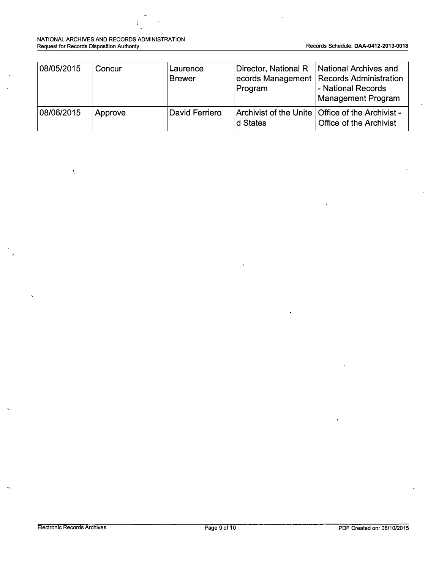#### NATIONAL ARCHIVES AND RECORDS ADMINISTRATION Request for Records Disposition Authority Records Schedule: **DAA-0412-2013-0018**

 $\bar{\chi}$ 

| 08/05/2015 | Concur  | Laurence<br><b>Brewer</b> | Program  | Director, National R   National Archives and<br>ecords Management   Records Administration<br>- National Records<br><b>Management Program</b> |
|------------|---------|---------------------------|----------|-----------------------------------------------------------------------------------------------------------------------------------------------|
| 08/06/2015 | Approve | David Ferriero            | d States | Archivist of the Unite   Office of the Archivist -<br>Office of the Archivist                                                                 |

 $\epsilon$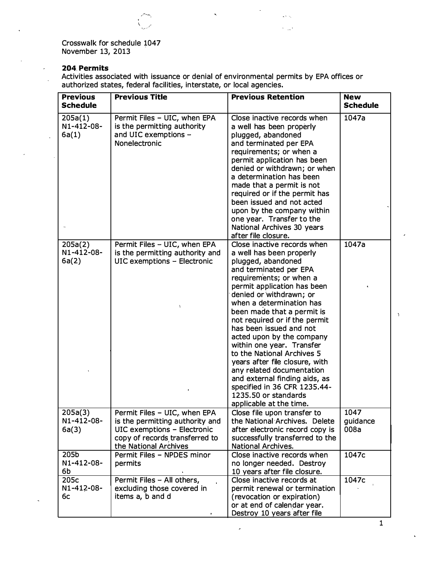**Crosswalk for schedule 1047 November 13, 2013** 

### **204. Permits**

**Activities associated with issuance or denial of environmental permits by EPA offices or authorized states, federal facil ities, interstate, or local agencies.** 

 $\alpha \sim \beta$ د پ

| <b>Previous</b><br><b>Schedule</b> | <b>Previous Title</b>                                                                                                                                     | <b>Previous Retention</b>                                                                                                                                                                                                                                                                                                                                                                                                                                                                                                                                                                     | <b>New</b><br><b>Schedule</b> |
|------------------------------------|-----------------------------------------------------------------------------------------------------------------------------------------------------------|-----------------------------------------------------------------------------------------------------------------------------------------------------------------------------------------------------------------------------------------------------------------------------------------------------------------------------------------------------------------------------------------------------------------------------------------------------------------------------------------------------------------------------------------------------------------------------------------------|-------------------------------|
| 205a(1)<br>N1-412-08-<br>6a(1)     | Permit Files - UIC, when EPA<br>is the permitting authority<br>and UIC exemptions -<br>Nonelectronic                                                      | Close inactive records when<br>a well has been properly<br>plugged, abandoned<br>and terminated per EPA<br>requirements; or when a<br>permit application has been<br>denied or withdrawn; or when<br>a determination has been<br>made that a permit is not<br>required or if the permit has<br>been issued and not acted<br>upon by the company within<br>one year. Transfer to the<br>National Archives 30 years<br>after file closure.                                                                                                                                                      | 1047a                         |
| 205a(2)<br>N1-412-08-<br>6a(2)     | Permit Files - UIC, when EPA<br>is the permitting authority and<br>UIC exemptions - Electronic                                                            | Close inactive records when<br>a well has been properly<br>plugged, abandoned<br>and terminated per EPA<br>requirements; or when a<br>permit application has been<br>denied or withdrawn; or<br>when a determination has<br>been made that a permit is<br>not required or if the permit<br>has been issued and not<br>acted upon by the company<br>within one year. Transfer<br>to the National Archives 5<br>years after file closure, with<br>any related documentation<br>and external finding aids, as<br>specified in 36 CFR 1235.44-<br>1235.50 or standards<br>applicable at the time. | 1047a                         |
| 205a(3)<br>N1-412-08-<br>6a(3)     | Permit Files - UIC, when EPA<br>is the permitting authority and<br>UIC exemptions - Electronic<br>copy of records transferred to<br>the National Archives | Close file upon transfer to<br>the National Archives. Delete<br>after electronic record copy is<br>successfully transferred to the<br>National Archives.                                                                                                                                                                                                                                                                                                                                                                                                                                      | 1047<br>quidance<br>008a      |
| 205b<br>N1-412-08-<br>6b           | Permit Files - NPDES minor<br>permits                                                                                                                     | Close inactive records when<br>no longer needed. Destroy<br>10 years after file closure.                                                                                                                                                                                                                                                                                                                                                                                                                                                                                                      | 1047c                         |
| 205c<br>N1-412-08-<br>6c           | Permit Files - All others,<br>excluding those covered in<br>items a, b and d                                                                              | Close inactive records at<br>permit renewal or termination<br>(revocation or expiration)<br>or at end of calendar year.<br>Destroy 10 years after file                                                                                                                                                                                                                                                                                                                                                                                                                                        | 1047c                         |

 $\mathcal{L}_{\mathcal{S}}$ 

 $\lambda$